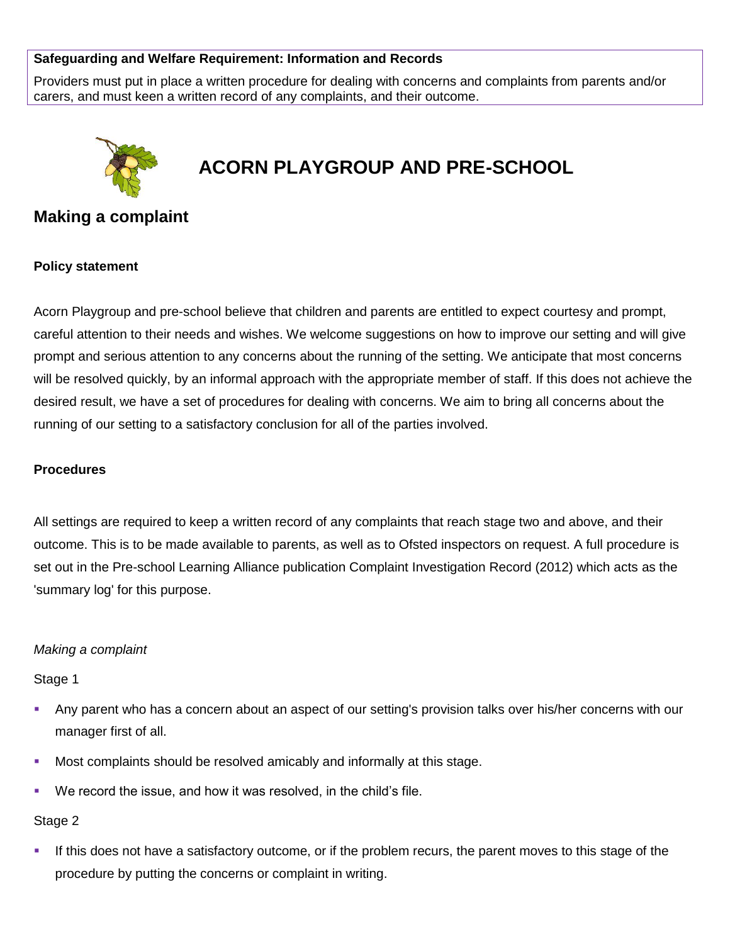## **Safeguarding and Welfare Requirement: Information and Records**

Providers must put in place a written procedure for dealing with concerns and complaints from parents and/or carers, and must keen a written record of any complaints, and their outcome.



# **ACORN PLAYGROUP AND PRE-SCHOOL**

# **Making a complaint**

#### **Policy statement**

Acorn Playgroup and pre-school believe that children and parents are entitled to expect courtesy and prompt, careful attention to their needs and wishes. We welcome suggestions on how to improve our setting and will give prompt and serious attention to any concerns about the running of the setting. We anticipate that most concerns will be resolved quickly, by an informal approach with the appropriate member of staff. If this does not achieve the desired result, we have a set of procedures for dealing with concerns. We aim to bring all concerns about the running of our setting to a satisfactory conclusion for all of the parties involved.

#### **Procedures**

All settings are required to keep a written record of any complaints that reach stage two and above, and their outcome. This is to be made available to parents, as well as to Ofsted inspectors on request. A full procedure is set out in the Pre-school Learning Alliance publication Complaint Investigation Record (2012) which acts as the 'summary log' for this purpose.

#### *Making a complaint*

Stage 1

- Any parent who has a concern about an aspect of our setting's provision talks over his/her concerns with our manager first of all.
- **Most complaints should be resolved amicably and informally at this stage.**
- We record the issue, and how it was resolved, in the child's file.

#### Stage 2

**.** If this does not have a satisfactory outcome, or if the problem recurs, the parent moves to this stage of the procedure by putting the concerns or complaint in writing.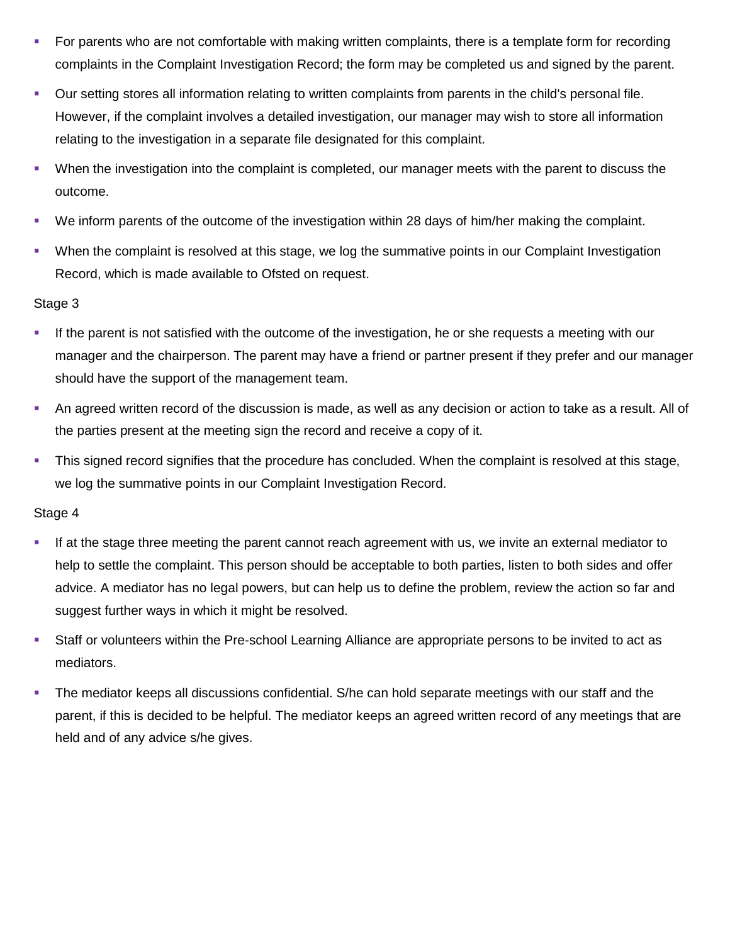- For parents who are not comfortable with making written complaints, there is a template form for recording complaints in the Complaint Investigation Record; the form may be completed us and signed by the parent.
- Our setting stores all information relating to written complaints from parents in the child's personal file. However, if the complaint involves a detailed investigation, our manager may wish to store all information relating to the investigation in a separate file designated for this complaint.
- When the investigation into the complaint is completed, our manager meets with the parent to discuss the outcome.
- We inform parents of the outcome of the investigation within 28 days of him/her making the complaint.
- When the complaint is resolved at this stage, we log the summative points in our Complaint Investigation Record, which is made available to Ofsted on request.

### Stage 3

- If the parent is not satisfied with the outcome of the investigation, he or she requests a meeting with our manager and the chairperson. The parent may have a friend or partner present if they prefer and our manager should have the support of the management team.
- An agreed written record of the discussion is made, as well as any decision or action to take as a result. All of the parties present at the meeting sign the record and receive a copy of it.
- This signed record signifies that the procedure has concluded. When the complaint is resolved at this stage, we log the summative points in our Complaint Investigation Record.

## Stage 4

- **■** If at the stage three meeting the parent cannot reach agreement with us, we invite an external mediator to help to settle the complaint. This person should be acceptable to both parties, listen to both sides and offer advice. A mediator has no legal powers, but can help us to define the problem, review the action so far and suggest further ways in which it might be resolved.
- Staff or volunteers within the Pre-school Learning Alliance are appropriate persons to be invited to act as mediators.
- **•** The mediator keeps all discussions confidential. S/he can hold separate meetings with our staff and the parent, if this is decided to be helpful. The mediator keeps an agreed written record of any meetings that are held and of any advice s/he gives.